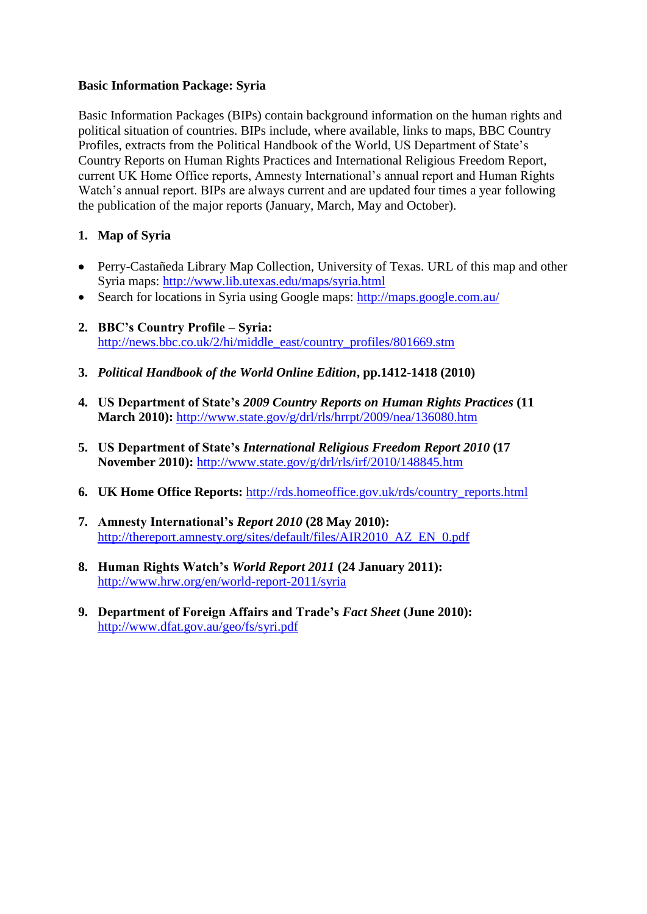## **Basic Information Package: Syria**

Basic Information Packages (BIPs) contain background information on the human rights and political situation of countries. BIPs include, where available, links to maps, BBC Country Profiles, extracts from the Political Handbook of the World, US Department of State's Country Reports on Human Rights Practices and International Religious Freedom Report, current UK Home Office reports, Amnesty International's annual report and Human Rights Watch's annual report. BIPs are always current and are updated four times a year following the publication of the major reports (January, March, May and October).

## **1. Map of Syria**

- Perry-Castañeda Library Map Collection, University of Texas. URL of this map and other Syria maps:<http://www.lib.utexas.edu/maps/syria.html>
- Search for locations in Syria using Google maps:<http://maps.google.com.au/>
- **2. BBC's Country Profile – Syria:**  [http://news.bbc.co.uk/2/hi/middle\\_east/country\\_profiles/801669.stm](http://news.bbc.co.uk/2/hi/middle_east/country_profiles/801669.stm)
- **3.** *Political Handbook of the World Online Edition***, pp.1412-1418 (2010)**
- **4. US Department of State's** *2009 Country Reports on Human Rights Practices* **(11 March 2010):** <http://www.state.gov/g/drl/rls/hrrpt/2009/nea/136080.htm>
- **5. US Department of State's** *International Religious Freedom Report 2010* **(17 November 2010):** <http://www.state.gov/g/drl/rls/irf/2010/148845.htm>
- **6. UK Home Office Reports:** [http://rds.homeoffice.gov.uk/rds/country\\_reports.html](http://rds.homeoffice.gov.uk/rds/country_reports.html)
- **7. Amnesty International's** *Report 2010* **(28 May 2010):**  [http://thereport.amnesty.org/sites/default/files/AIR2010\\_AZ\\_EN\\_0.pdf](http://thereport.amnesty.org/sites/default/files/AIR2010_AZ_EN_0.pdf)
- **8. Human Rights Watch's** *World Report 2011* **(24 January 2011):**  <http://www.hrw.org/en/world-report-2011/syria>
- **9. Department of Foreign Affairs and Trade's** *Fact Sheet* **(June 2010):**  <http://www.dfat.gov.au/geo/fs/syri.pdf>